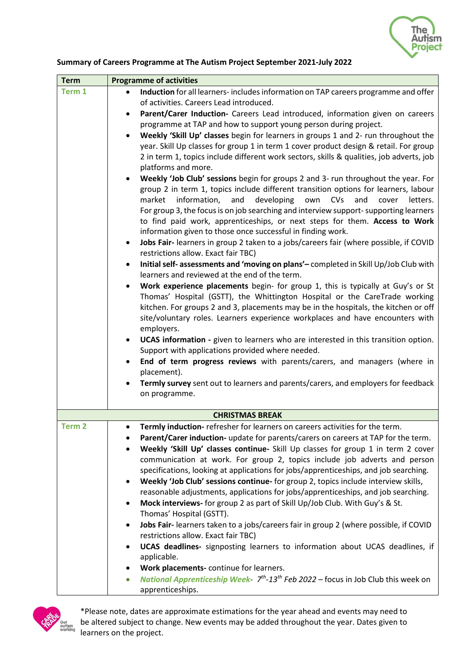

## **Summary of Careers Programme at The Autism Project September 2021-July 2022**

| Induction for all learners-includes information on TAP careers programme and offer<br>Term 1<br>$\bullet$<br>of activities. Careers Lead introduced.<br>Parent/Carer Induction- Careers Lead introduced, information given on careers<br>٠<br>programme at TAP and how to support young person during project.<br>Weekly 'Skill Up' classes begin for learners in groups 1 and 2- run throughout the<br>year. Skill Up classes for group 1 in term 1 cover product design & retail. For group<br>2 in term 1, topics include different work sectors, skills & qualities, job adverts, job<br>platforms and more.<br>Weekly 'Job Club' sessions begin for groups 2 and 3- run throughout the year. For<br>group 2 in term 1, topics include different transition options for learners, labour<br>information,<br>developing<br>market<br>and<br>own<br>CVs<br>and<br>letters.<br>cover<br>For group 3, the focus is on job searching and interview support-supporting learners<br>to find paid work, apprenticeships, or next steps for them. Access to Work<br>information given to those once successful in finding work.<br>Jobs Fair- learners in group 2 taken to a jobs/careers fair (where possible, if COVID<br>$\bullet$<br>restrictions allow. Exact fair TBC)<br>Initial self- assessments and 'moving on plans' - completed in Skill Up/Job Club with<br>$\bullet$ |
|-------------------------------------------------------------------------------------------------------------------------------------------------------------------------------------------------------------------------------------------------------------------------------------------------------------------------------------------------------------------------------------------------------------------------------------------------------------------------------------------------------------------------------------------------------------------------------------------------------------------------------------------------------------------------------------------------------------------------------------------------------------------------------------------------------------------------------------------------------------------------------------------------------------------------------------------------------------------------------------------------------------------------------------------------------------------------------------------------------------------------------------------------------------------------------------------------------------------------------------------------------------------------------------------------------------------------------------------------------------------------------|
|                                                                                                                                                                                                                                                                                                                                                                                                                                                                                                                                                                                                                                                                                                                                                                                                                                                                                                                                                                                                                                                                                                                                                                                                                                                                                                                                                                               |
|                                                                                                                                                                                                                                                                                                                                                                                                                                                                                                                                                                                                                                                                                                                                                                                                                                                                                                                                                                                                                                                                                                                                                                                                                                                                                                                                                                               |
|                                                                                                                                                                                                                                                                                                                                                                                                                                                                                                                                                                                                                                                                                                                                                                                                                                                                                                                                                                                                                                                                                                                                                                                                                                                                                                                                                                               |
|                                                                                                                                                                                                                                                                                                                                                                                                                                                                                                                                                                                                                                                                                                                                                                                                                                                                                                                                                                                                                                                                                                                                                                                                                                                                                                                                                                               |
|                                                                                                                                                                                                                                                                                                                                                                                                                                                                                                                                                                                                                                                                                                                                                                                                                                                                                                                                                                                                                                                                                                                                                                                                                                                                                                                                                                               |
|                                                                                                                                                                                                                                                                                                                                                                                                                                                                                                                                                                                                                                                                                                                                                                                                                                                                                                                                                                                                                                                                                                                                                                                                                                                                                                                                                                               |
|                                                                                                                                                                                                                                                                                                                                                                                                                                                                                                                                                                                                                                                                                                                                                                                                                                                                                                                                                                                                                                                                                                                                                                                                                                                                                                                                                                               |
|                                                                                                                                                                                                                                                                                                                                                                                                                                                                                                                                                                                                                                                                                                                                                                                                                                                                                                                                                                                                                                                                                                                                                                                                                                                                                                                                                                               |
|                                                                                                                                                                                                                                                                                                                                                                                                                                                                                                                                                                                                                                                                                                                                                                                                                                                                                                                                                                                                                                                                                                                                                                                                                                                                                                                                                                               |
|                                                                                                                                                                                                                                                                                                                                                                                                                                                                                                                                                                                                                                                                                                                                                                                                                                                                                                                                                                                                                                                                                                                                                                                                                                                                                                                                                                               |
|                                                                                                                                                                                                                                                                                                                                                                                                                                                                                                                                                                                                                                                                                                                                                                                                                                                                                                                                                                                                                                                                                                                                                                                                                                                                                                                                                                               |
|                                                                                                                                                                                                                                                                                                                                                                                                                                                                                                                                                                                                                                                                                                                                                                                                                                                                                                                                                                                                                                                                                                                                                                                                                                                                                                                                                                               |
|                                                                                                                                                                                                                                                                                                                                                                                                                                                                                                                                                                                                                                                                                                                                                                                                                                                                                                                                                                                                                                                                                                                                                                                                                                                                                                                                                                               |
|                                                                                                                                                                                                                                                                                                                                                                                                                                                                                                                                                                                                                                                                                                                                                                                                                                                                                                                                                                                                                                                                                                                                                                                                                                                                                                                                                                               |
|                                                                                                                                                                                                                                                                                                                                                                                                                                                                                                                                                                                                                                                                                                                                                                                                                                                                                                                                                                                                                                                                                                                                                                                                                                                                                                                                                                               |
|                                                                                                                                                                                                                                                                                                                                                                                                                                                                                                                                                                                                                                                                                                                                                                                                                                                                                                                                                                                                                                                                                                                                                                                                                                                                                                                                                                               |
| learners and reviewed at the end of the term.                                                                                                                                                                                                                                                                                                                                                                                                                                                                                                                                                                                                                                                                                                                                                                                                                                                                                                                                                                                                                                                                                                                                                                                                                                                                                                                                 |
| Work experience placements begin- for group 1, this is typically at Guy's or St<br>$\bullet$                                                                                                                                                                                                                                                                                                                                                                                                                                                                                                                                                                                                                                                                                                                                                                                                                                                                                                                                                                                                                                                                                                                                                                                                                                                                                  |
| Thomas' Hospital (GSTT), the Whittington Hospital or the CareTrade working                                                                                                                                                                                                                                                                                                                                                                                                                                                                                                                                                                                                                                                                                                                                                                                                                                                                                                                                                                                                                                                                                                                                                                                                                                                                                                    |
| kitchen. For groups 2 and 3, placements may be in the hospitals, the kitchen or off                                                                                                                                                                                                                                                                                                                                                                                                                                                                                                                                                                                                                                                                                                                                                                                                                                                                                                                                                                                                                                                                                                                                                                                                                                                                                           |
| site/voluntary roles. Learners experience workplaces and have encounters with                                                                                                                                                                                                                                                                                                                                                                                                                                                                                                                                                                                                                                                                                                                                                                                                                                                                                                                                                                                                                                                                                                                                                                                                                                                                                                 |
| employers.                                                                                                                                                                                                                                                                                                                                                                                                                                                                                                                                                                                                                                                                                                                                                                                                                                                                                                                                                                                                                                                                                                                                                                                                                                                                                                                                                                    |
| UCAS information - given to learners who are interested in this transition option.                                                                                                                                                                                                                                                                                                                                                                                                                                                                                                                                                                                                                                                                                                                                                                                                                                                                                                                                                                                                                                                                                                                                                                                                                                                                                            |
| Support with applications provided where needed.                                                                                                                                                                                                                                                                                                                                                                                                                                                                                                                                                                                                                                                                                                                                                                                                                                                                                                                                                                                                                                                                                                                                                                                                                                                                                                                              |
| End of term progress reviews with parents/carers, and managers (where in<br>$\bullet$                                                                                                                                                                                                                                                                                                                                                                                                                                                                                                                                                                                                                                                                                                                                                                                                                                                                                                                                                                                                                                                                                                                                                                                                                                                                                         |
| placement).                                                                                                                                                                                                                                                                                                                                                                                                                                                                                                                                                                                                                                                                                                                                                                                                                                                                                                                                                                                                                                                                                                                                                                                                                                                                                                                                                                   |
| Termly survey sent out to learners and parents/carers, and employers for feedback<br>$\bullet$<br>on programme.                                                                                                                                                                                                                                                                                                                                                                                                                                                                                                                                                                                                                                                                                                                                                                                                                                                                                                                                                                                                                                                                                                                                                                                                                                                               |
|                                                                                                                                                                                                                                                                                                                                                                                                                                                                                                                                                                                                                                                                                                                                                                                                                                                                                                                                                                                                                                                                                                                                                                                                                                                                                                                                                                               |
| <b>CHRISTMAS BREAK</b>                                                                                                                                                                                                                                                                                                                                                                                                                                                                                                                                                                                                                                                                                                                                                                                                                                                                                                                                                                                                                                                                                                                                                                                                                                                                                                                                                        |
| Term <sub>2</sub><br><b>Termly induction-</b> refresher for learners on careers activities for the term                                                                                                                                                                                                                                                                                                                                                                                                                                                                                                                                                                                                                                                                                                                                                                                                                                                                                                                                                                                                                                                                                                                                                                                                                                                                       |
| Parent/Carer induction- update for parents/carers on careers at TAP for the term.<br>٠                                                                                                                                                                                                                                                                                                                                                                                                                                                                                                                                                                                                                                                                                                                                                                                                                                                                                                                                                                                                                                                                                                                                                                                                                                                                                        |
| Weekly 'Skill Up' classes continue- Skill Up classes for group 1 in term 2 cover                                                                                                                                                                                                                                                                                                                                                                                                                                                                                                                                                                                                                                                                                                                                                                                                                                                                                                                                                                                                                                                                                                                                                                                                                                                                                              |
| communication at work. For group 2, topics include job adverts and person                                                                                                                                                                                                                                                                                                                                                                                                                                                                                                                                                                                                                                                                                                                                                                                                                                                                                                                                                                                                                                                                                                                                                                                                                                                                                                     |
| specifications, looking at applications for jobs/apprenticeships, and job searching.                                                                                                                                                                                                                                                                                                                                                                                                                                                                                                                                                                                                                                                                                                                                                                                                                                                                                                                                                                                                                                                                                                                                                                                                                                                                                          |
| Weekly 'Job Club' sessions continue- for group 2, topics include interview skills,<br>$\bullet$                                                                                                                                                                                                                                                                                                                                                                                                                                                                                                                                                                                                                                                                                                                                                                                                                                                                                                                                                                                                                                                                                                                                                                                                                                                                               |
| reasonable adjustments, applications for jobs/apprenticeships, and job searching.                                                                                                                                                                                                                                                                                                                                                                                                                                                                                                                                                                                                                                                                                                                                                                                                                                                                                                                                                                                                                                                                                                                                                                                                                                                                                             |
| Mock interviews- for group 2 as part of Skill Up/Job Club. With Guy's & St.<br>$\bullet$                                                                                                                                                                                                                                                                                                                                                                                                                                                                                                                                                                                                                                                                                                                                                                                                                                                                                                                                                                                                                                                                                                                                                                                                                                                                                      |
| Thomas' Hospital (GSTT).                                                                                                                                                                                                                                                                                                                                                                                                                                                                                                                                                                                                                                                                                                                                                                                                                                                                                                                                                                                                                                                                                                                                                                                                                                                                                                                                                      |
| Jobs Fair- learners taken to a jobs/careers fair in group 2 (where possible, if COVID<br>٠                                                                                                                                                                                                                                                                                                                                                                                                                                                                                                                                                                                                                                                                                                                                                                                                                                                                                                                                                                                                                                                                                                                                                                                                                                                                                    |
| restrictions allow. Exact fair TBC)                                                                                                                                                                                                                                                                                                                                                                                                                                                                                                                                                                                                                                                                                                                                                                                                                                                                                                                                                                                                                                                                                                                                                                                                                                                                                                                                           |
| UCAS deadlines- signposting learners to information about UCAS deadlines, if<br>$\bullet$                                                                                                                                                                                                                                                                                                                                                                                                                                                                                                                                                                                                                                                                                                                                                                                                                                                                                                                                                                                                                                                                                                                                                                                                                                                                                     |
| applicable.                                                                                                                                                                                                                                                                                                                                                                                                                                                                                                                                                                                                                                                                                                                                                                                                                                                                                                                                                                                                                                                                                                                                                                                                                                                                                                                                                                   |
| Work placements-continue for learners.<br>٠<br><b>National Apprenticeship Week-</b> $7th$ -13 <sup>th</sup> Feb 2022 – focus in Job Club this week on                                                                                                                                                                                                                                                                                                                                                                                                                                                                                                                                                                                                                                                                                                                                                                                                                                                                                                                                                                                                                                                                                                                                                                                                                         |
| $\bullet$<br>apprenticeships.                                                                                                                                                                                                                                                                                                                                                                                                                                                                                                                                                                                                                                                                                                                                                                                                                                                                                                                                                                                                                                                                                                                                                                                                                                                                                                                                                 |



\*Please note, dates are approximate estimations for the year ahead and events may need to be altered subject to change. New events may be added throughout the year. Dates given to learners on the project.